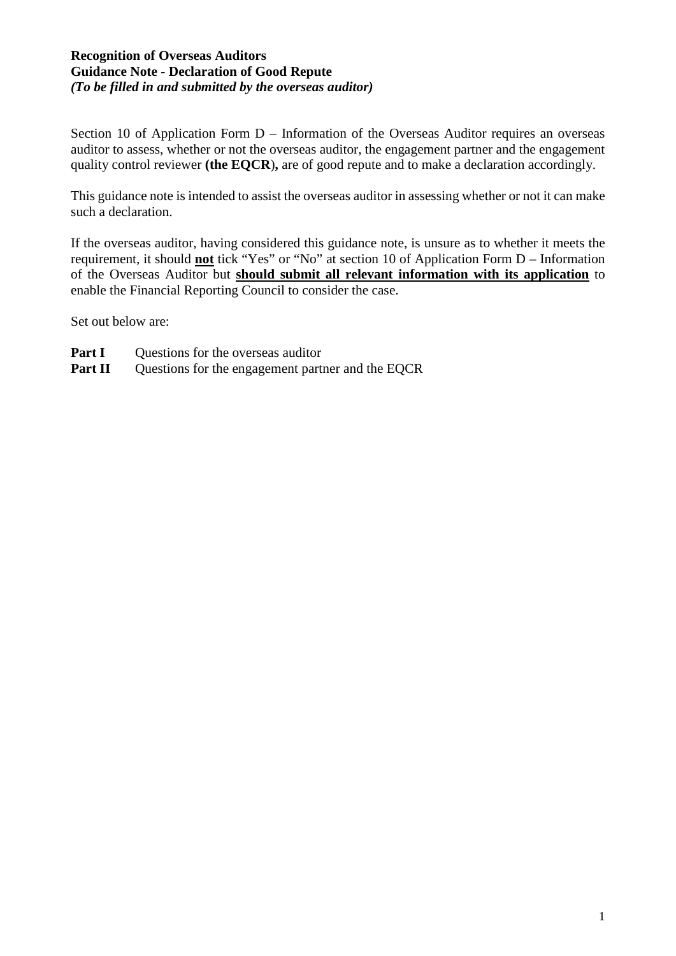### **Recognition of Overseas Auditors Guidance Note - Declaration of Good Repute** *(To be filled in and submitted by the overseas auditor)*

Section 10 of Application Form D – Information of the Overseas Auditor requires an overseas auditor to assess, whether or not the overseas auditor, the engagement partner and the engagement quality control reviewer **(the EQCR**)**,** are of good repute and to make a declaration accordingly.

This guidance note is intended to assist the overseas auditor in assessing whether or not it can make such a declaration.

If the overseas auditor, having considered this guidance note, is unsure as to whether it meets the requirement, it should **not** tick "Yes" or "No" at section 10 of Application Form D – Information of the Overseas Auditor but **should submit all relevant information with its application** to enable the Financial Reporting Council to consider the case.

Set out below are:

- **Part I** Questions for the overseas auditor
- **Part II** Questions for the engagement partner and the EQCR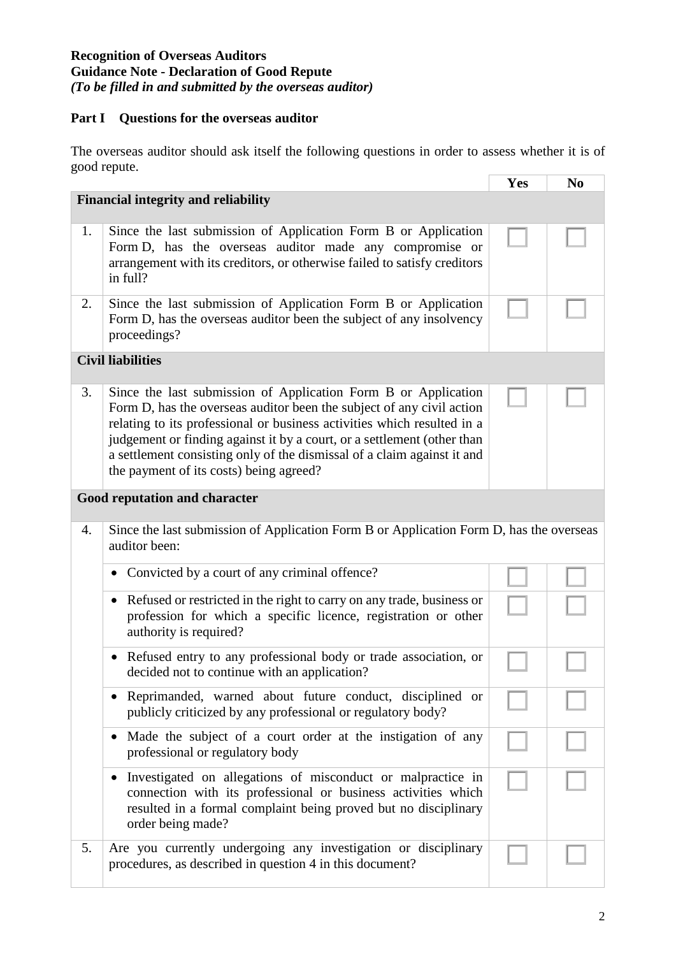### **Recognition of Overseas Auditors Guidance Note - Declaration of Good Repute** *(To be filled in and submitted by the overseas auditor)*

## **Part I Questions for the overseas auditor**

The overseas auditor should ask itself the following questions in order to assess whether it is of good repute.

|                                            |                                                                                                                                                                                                                                                                                                                                                                                                                     | <b>Yes</b>                                                                              | N <sub>0</sub> |  |  |  |
|--------------------------------------------|---------------------------------------------------------------------------------------------------------------------------------------------------------------------------------------------------------------------------------------------------------------------------------------------------------------------------------------------------------------------------------------------------------------------|-----------------------------------------------------------------------------------------|----------------|--|--|--|
| <b>Financial integrity and reliability</b> |                                                                                                                                                                                                                                                                                                                                                                                                                     |                                                                                         |                |  |  |  |
| 1.                                         | Since the last submission of Application Form B or Application<br>Form D, has the overseas auditor made any compromise or<br>arrangement with its creditors, or otherwise failed to satisfy creditors<br>in full?                                                                                                                                                                                                   |                                                                                         |                |  |  |  |
| 2.                                         | Since the last submission of Application Form B or Application<br>Form D, has the overseas auditor been the subject of any insolvency<br>proceedings?                                                                                                                                                                                                                                                               |                                                                                         |                |  |  |  |
| <b>Civil liabilities</b>                   |                                                                                                                                                                                                                                                                                                                                                                                                                     |                                                                                         |                |  |  |  |
| 3.                                         | Since the last submission of Application Form B or Application<br>Form D, has the overseas auditor been the subject of any civil action<br>relating to its professional or business activities which resulted in a<br>judgement or finding against it by a court, or a settlement (other than<br>a settlement consisting only of the dismissal of a claim against it and<br>the payment of its costs) being agreed? |                                                                                         |                |  |  |  |
| Good reputation and character              |                                                                                                                                                                                                                                                                                                                                                                                                                     |                                                                                         |                |  |  |  |
| 4.                                         | auditor been:                                                                                                                                                                                                                                                                                                                                                                                                       | Since the last submission of Application Form B or Application Form D, has the overseas |                |  |  |  |
|                                            | Convicted by a court of any criminal offence?                                                                                                                                                                                                                                                                                                                                                                       |                                                                                         |                |  |  |  |
|                                            | Refused or restricted in the right to carry on any trade, business or<br>$\bullet$<br>profession for which a specific licence, registration or other<br>authority is required?                                                                                                                                                                                                                                      |                                                                                         |                |  |  |  |
|                                            | Refused entry to any professional body or trade association, or<br>$\bullet$<br>decided not to continue with an application?                                                                                                                                                                                                                                                                                        |                                                                                         |                |  |  |  |
|                                            | Reprimanded, warned about future conduct, disciplined or<br>publicly criticized by any professional or regulatory body?                                                                                                                                                                                                                                                                                             |                                                                                         |                |  |  |  |
|                                            | Made the subject of a court order at the instigation of any<br>professional or regulatory body                                                                                                                                                                                                                                                                                                                      |                                                                                         |                |  |  |  |
|                                            | Investigated on allegations of misconduct or malpractice in<br>connection with its professional or business activities which<br>resulted in a formal complaint being proved but no disciplinary<br>order being made?                                                                                                                                                                                                |                                                                                         |                |  |  |  |
| 5.                                         | Are you currently undergoing any investigation or disciplinary<br>procedures, as described in question 4 in this document?                                                                                                                                                                                                                                                                                          |                                                                                         |                |  |  |  |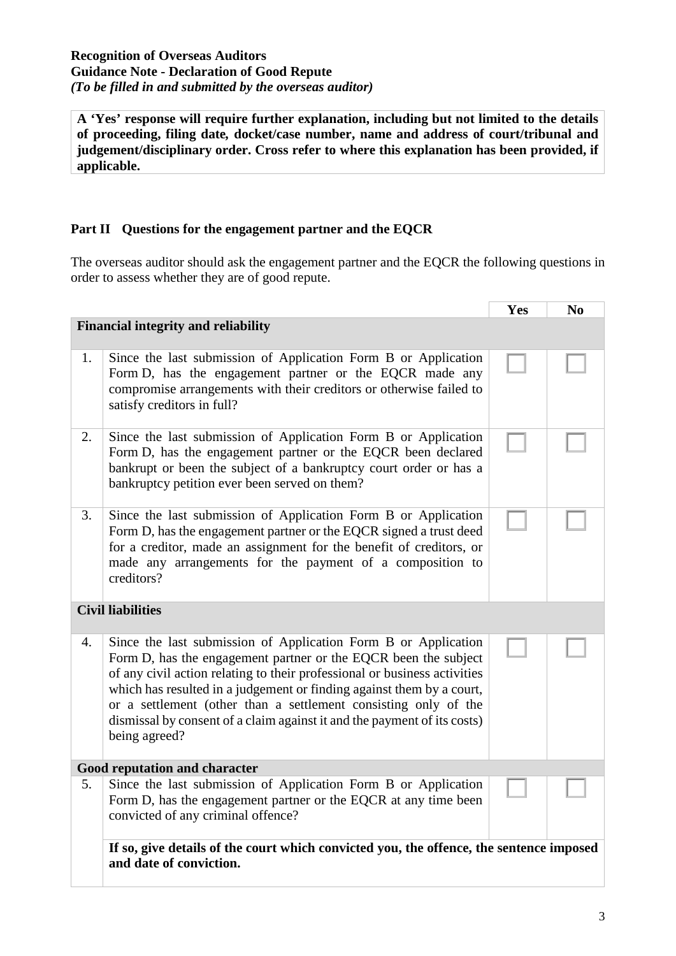### **Recognition of Overseas Auditors Guidance Note - Declaration of Good Repute** *(To be filled in and submitted by the overseas auditor)*

**A 'Yes' response will require further explanation, including but not limited to the details of proceeding, filing date***,* **docket/case number, name and address of court/tribunal and judgement/disciplinary order. Cross refer to where this explanation has been provided, if applicable.**

# **Part II Questions for the engagement partner and the EQCR**

The overseas auditor should ask the engagement partner and the EQCR the following questions in order to assess whether they are of good repute.

|                                            |                                                                                                                                                                                                                                                                                                                                                                                                                                                         | Yes | N <sub>0</sub> |  |  |
|--------------------------------------------|---------------------------------------------------------------------------------------------------------------------------------------------------------------------------------------------------------------------------------------------------------------------------------------------------------------------------------------------------------------------------------------------------------------------------------------------------------|-----|----------------|--|--|
| <b>Financial integrity and reliability</b> |                                                                                                                                                                                                                                                                                                                                                                                                                                                         |     |                |  |  |
| 1.                                         | Since the last submission of Application Form B or Application<br>Form D, has the engagement partner or the EQCR made any<br>compromise arrangements with their creditors or otherwise failed to<br>satisfy creditors in full?                                                                                                                                                                                                                          |     |                |  |  |
| 2.                                         | Since the last submission of Application Form B or Application<br>Form D, has the engagement partner or the EQCR been declared<br>bankrupt or been the subject of a bankruptcy court order or has a<br>bankruptcy petition ever been served on them?                                                                                                                                                                                                    |     |                |  |  |
| 3.                                         | Since the last submission of Application Form B or Application<br>Form D, has the engagement partner or the EQCR signed a trust deed<br>for a creditor, made an assignment for the benefit of creditors, or<br>made any arrangements for the payment of a composition to<br>creditors?                                                                                                                                                                  |     |                |  |  |
| <b>Civil liabilities</b>                   |                                                                                                                                                                                                                                                                                                                                                                                                                                                         |     |                |  |  |
| 4.                                         | Since the last submission of Application Form B or Application<br>Form D, has the engagement partner or the EQCR been the subject<br>of any civil action relating to their professional or business activities<br>which has resulted in a judgement or finding against them by a court,<br>or a settlement (other than a settlement consisting only of the<br>dismissal by consent of a claim against it and the payment of its costs)<br>being agreed? |     |                |  |  |
| Good reputation and character              |                                                                                                                                                                                                                                                                                                                                                                                                                                                         |     |                |  |  |
| 5.                                         | Since the last submission of Application Form B or Application<br>Form D, has the engagement partner or the EQCR at any time been<br>convicted of any criminal offence?                                                                                                                                                                                                                                                                                 |     |                |  |  |
|                                            | If so, give details of the court which convicted you, the offence, the sentence imposed<br>and date of conviction.                                                                                                                                                                                                                                                                                                                                      |     |                |  |  |